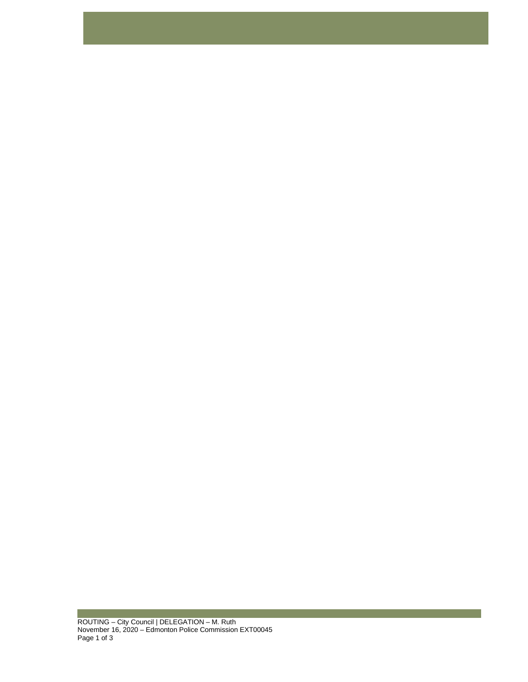#### ROUTING – City Council | DELEGATION – M. Ruth November 16, 2020 – Edmonton Police Commission EXT00045 Page 1 of 3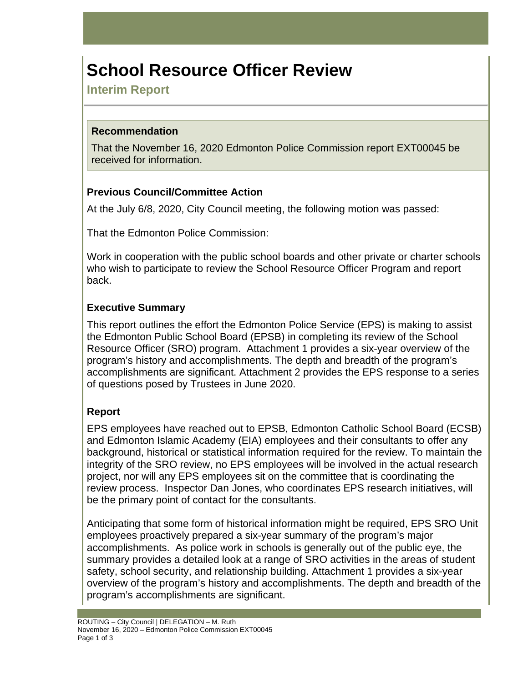# **School Resource Officer Review**

**Interim Report**

#### **Recommendation**

That the November 16, 2020 Edmonton Police Commission report EXT00045 be received for information.

### **Previous Council/Committee Action**

At the July 6/8, 2020, City Council meeting, the following motion was passed:

That the Edmonton Police Commission:

Work in cooperation with the public school boards and other private or charter schools who wish to participate to review the School Resource Officer Program and report back.

### **Executive Summary**

This report outlines the effort the Edmonton Police Service (EPS) is making to assist the Edmonton Public School Board (EPSB) in completing its review of the School Resource Officer (SRO) program. Attachment 1 provides a six-year overview of the program's history and accomplishments. The depth and breadth of the program's accomplishments are significant. Attachment 2 provides the EPS response to a series of questions posed by Trustees in June 2020.

## **Report**

EPS employees have reached out to EPSB, Edmonton Catholic School Board (ECSB) and Edmonton Islamic Academy (EIA) employees and their consultants to offer any background, historical or statistical information required for the review. To maintain the integrity of the SRO review, no EPS employees will be involved in the actual research project, nor will any EPS employees sit on the committee that is coordinating the review process. Inspector Dan Jones, who coordinates EPS research initiatives, will be the primary point of contact for the consultants.

Anticipating that some form of historical information might be required, EPS SRO Unit employees proactively prepared a six-year summary of the program's major accomplishments. As police work in schools is generally out of the public eye, the summary provides a detailed look at a range of SRO activities in the areas of student safety, school security, and relationship building. Attachment 1 provides a six-year overview of the program's history and accomplishments. The depth and breadth of the program's accomplishments are significant.